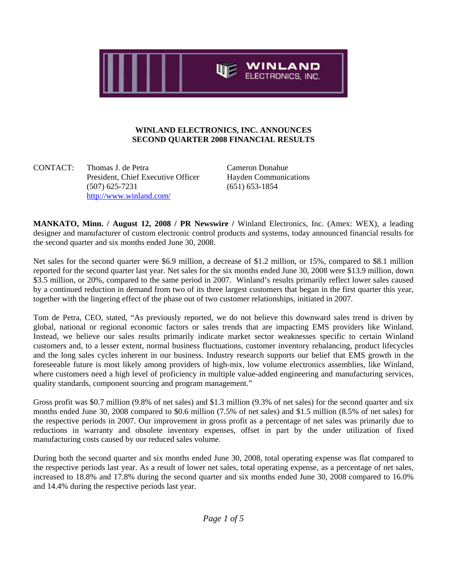

### **WINLAND ELECTRONICS, INC. ANNOUNCES SECOND QUARTER 2008 FINANCIAL RESULTS**

CONTACT: Thomas J. de Petra Cameron Donahue President, Chief Executive Officer Hayden Communications (507) 625-7231 (651) 653-1854 http://www.winland.com/

**MANKATO, Minn. / August 12, 2008 / PR Newswire /** Winland Electronics, Inc. (Amex: WEX), a leading designer and manufacturer of custom electronic control products and systems, today announced financial results for the second quarter and six months ended June 30, 2008.

Net sales for the second quarter were \$6.9 million, a decrease of \$1.2 million, or 15%, compared to \$8.1 million reported for the second quarter last year. Net sales for the six months ended June 30, 2008 were \$13.9 million, down \$3.5 million, or 20%, compared to the same period in 2007. Winland's results primarily reflect lower sales caused by a continued reduction in demand from two of its three largest customers that began in the first quarter this year, together with the lingering effect of the phase out of two customer relationships, initiated in 2007.

Tom de Petra, CEO, stated, "As previously reported, we do not believe this downward sales trend is driven by global, national or regional economic factors or sales trends that are impacting EMS providers like Winland. Instead, we believe our sales results primarily indicate market sector weaknesses specific to certain Winland customers and, to a lesser extent, normal business fluctuations, customer inventory rebalancing, product lifecycles and the long sales cycles inherent in our business. Industry research supports our belief that EMS growth in the foreseeable future is most likely among providers of high-mix, low volume electronics assemblies, like Winland, where customers need a high level of proficiency in multiple value-added engineering and manufacturing services, quality standards, component sourcing and program management."

Gross profit was \$0.7 million (9.8% of net sales) and \$1.3 million (9.3% of net sales) for the second quarter and six months ended June 30, 2008 compared to \$0.6 million (7.5% of net sales) and \$1.5 million (8.5% of net sales) for the respective periods in 2007. Our improvement in gross profit as a percentage of net sales was primarily due to reductions in warranty and obsolete inventory expenses, offset in part by the under utilization of fixed manufacturing costs caused by our reduced sales volume.

During both the second quarter and six months ended June 30, 2008, total operating expense was flat compared to the respective periods last year. As a result of lower net sales, total operating expense, as a percentage of net sales, increased to 18.8% and 17.8% during the second quarter and six months ended June 30, 2008 compared to 16.0% and 14.4% during the respective periods last year.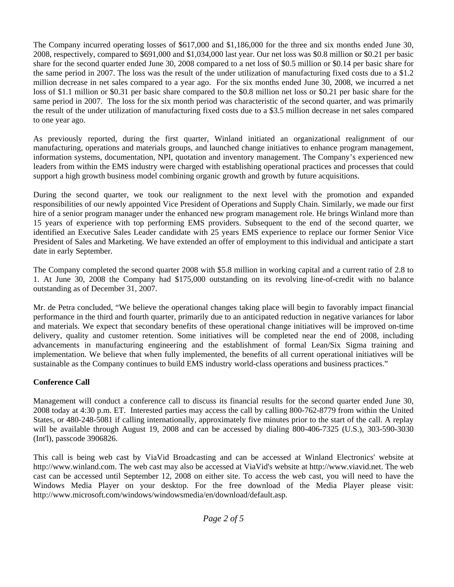The Company incurred operating losses of \$617,000 and \$1,186,000 for the three and six months ended June 30, 2008, respectively, compared to \$691,000 and \$1,034,000 last year. Our net loss was \$0.8 million or \$0.21 per basic share for the second quarter ended June 30, 2008 compared to a net loss of \$0.5 million or \$0.14 per basic share for the same period in 2007. The loss was the result of the under utilization of manufacturing fixed costs due to a \$1.2 million decrease in net sales compared to a year ago. For the six months ended June 30, 2008, we incurred a net loss of \$1.1 million or \$0.31 per basic share compared to the \$0.8 million net loss or \$0.21 per basic share for the same period in 2007. The loss for the six month period was characteristic of the second quarter, and was primarily the result of the under utilization of manufacturing fixed costs due to a \$3.5 million decrease in net sales compared to one year ago.

As previously reported, during the first quarter, Winland initiated an organizational realignment of our manufacturing, operations and materials groups, and launched change initiatives to enhance program management, information systems, documentation, NPI, quotation and inventory management. The Company's experienced new leaders from within the EMS industry were charged with establishing operational practices and processes that could support a high growth business model combining organic growth and growth by future acquisitions.

During the second quarter, we took our realignment to the next level with the promotion and expanded responsibilities of our newly appointed Vice President of Operations and Supply Chain. Similarly, we made our first hire of a senior program manager under the enhanced new program management role. He brings Winland more than 15 years of experience with top performing EMS providers. Subsequent to the end of the second quarter, we identified an Executive Sales Leader candidate with 25 years EMS experience to replace our former Senior Vice President of Sales and Marketing. We have extended an offer of employment to this individual and anticipate a start date in early September.

The Company completed the second quarter 2008 with \$5.8 million in working capital and a current ratio of 2.8 to 1. At June 30, 2008 the Company had \$175,000 outstanding on its revolving line-of-credit with no balance outstanding as of December 31, 2007.

Mr. de Petra concluded, "We believe the operational changes taking place will begin to favorably impact financial performance in the third and fourth quarter, primarily due to an anticipated reduction in negative variances for labor and materials. We expect that secondary benefits of these operational change initiatives will be improved on-time delivery, quality and customer retention. Some initiatives will be completed near the end of 2008, including advancements in manufacturing engineering and the establishment of formal Lean/Six Sigma training and implementation. We believe that when fully implemented, the benefits of all current operational initiatives will be sustainable as the Company continues to build EMS industry world-class operations and business practices."

# **Conference Call**

Management will conduct a conference call to discuss its financial results for the second quarter ended June 30, 2008 today at 4:30 p.m. ET. Interested parties may access the call by calling 800-762-8779 from within the United States, or 480-248-5081 if calling internationally, approximately five minutes prior to the start of the call. A replay will be available through August 19, 2008 and can be accessed by dialing 800-406-7325 (U.S.), 303-590-3030 (Int'l), passcode 3906826.

This call is being web cast by ViaVid Broadcasting and can be accessed at Winland Electronics' website at http://www.winland.com. The web cast may also be accessed at ViaVid's website at http://www.viavid.net. The web cast can be accessed until September 12, 2008 on either site. To access the web cast, you will need to have the Windows Media Player on your desktop. For the free download of the Media Player please visit: http://www.microsoft.com/windows/windowsmedia/en/download/default.asp.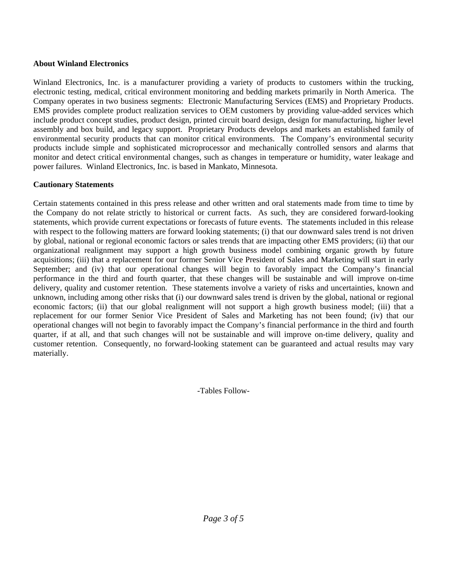# **About Winland Electronics**

Winland Electronics, Inc. is a manufacturer providing a variety of products to customers within the trucking, electronic testing, medical, critical environment monitoring and bedding markets primarily in North America. The Company operates in two business segments: Electronic Manufacturing Services (EMS) and Proprietary Products. EMS provides complete product realization services to OEM customers by providing value-added services which include product concept studies, product design, printed circuit board design, design for manufacturing, higher level assembly and box build, and legacy support. Proprietary Products develops and markets an established family of environmental security products that can monitor critical environments. The Company's environmental security products include simple and sophisticated microprocessor and mechanically controlled sensors and alarms that monitor and detect critical environmental changes, such as changes in temperature or humidity, water leakage and power failures. Winland Electronics, Inc. is based in Mankato, Minnesota.

# **Cautionary Statements**

Certain statements contained in this press release and other written and oral statements made from time to time by the Company do not relate strictly to historical or current facts. As such, they are considered forward-looking statements, which provide current expectations or forecasts of future events. The statements included in this release with respect to the following matters are forward looking statements; (i) that our downward sales trend is not driven by global, national or regional economic factors or sales trends that are impacting other EMS providers; (ii) that our organizational realignment may support a high growth business model combining organic growth by future acquisitions; (iii) that a replacement for our former Senior Vice President of Sales and Marketing will start in early September; and (iv) that our operational changes will begin to favorably impact the Company's financial performance in the third and fourth quarter, that these changes will be sustainable and will improve on-time delivery, quality and customer retention. These statements involve a variety of risks and uncertainties, known and unknown, including among other risks that (i) our downward sales trend is driven by the global, national or regional economic factors; (ii) that our global realignment will not support a high growth business model; (iii) that a replacement for our former Senior Vice President of Sales and Marketing has not been found; (iv) that our operational changes will not begin to favorably impact the Company's financial performance in the third and fourth quarter, if at all, and that such changes will not be sustainable and will improve on-time delivery, quality and customer retention. Consequently, no forward-looking statement can be guaranteed and actual results may vary materially.

-Tables Follow-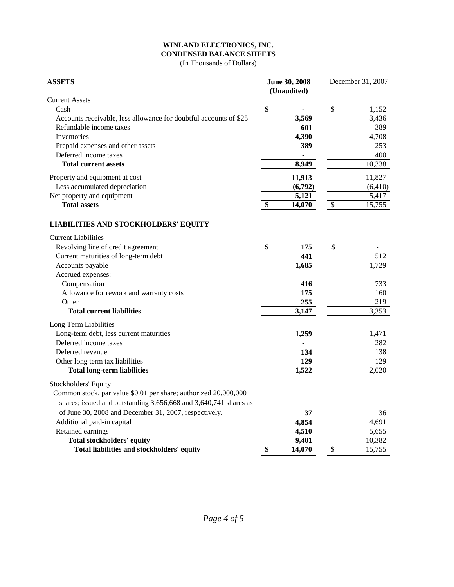#### **WINLAND ELECTRONICS, INC. CONDENSED BALANCE SHEETS**

(In Thousands of Dollars)

| <b>ASSETS</b>                                                     |    | June 30, 2008            |                           | December 31, 2007  |  |
|-------------------------------------------------------------------|----|--------------------------|---------------------------|--------------------|--|
|                                                                   |    | $\overline{U}$ naudited) |                           |                    |  |
| <b>Current Assets</b>                                             |    |                          |                           |                    |  |
| Cash                                                              | \$ |                          | \$                        | 1,152              |  |
| Accounts receivable, less allowance for doubtful accounts of \$25 |    | 3,569                    |                           | 3,436              |  |
| Refundable income taxes                                           |    | 601                      |                           | 389                |  |
| <b>Inventories</b>                                                |    | 4,390                    |                           | 4,708              |  |
| Prepaid expenses and other assets                                 |    | 389                      |                           | 253                |  |
| Deferred income taxes                                             |    | $\blacksquare$           |                           | 400                |  |
| <b>Total current assets</b>                                       |    | 8,949                    |                           | 10,338             |  |
| Property and equipment at cost                                    |    | 11,913                   |                           | 11,827             |  |
| Less accumulated depreciation                                     |    | (6,792)                  |                           | (6, 410)           |  |
| Net property and equipment                                        |    | 5,121                    |                           | 5,417              |  |
| <b>Total assets</b>                                               | \$ | 14,070                   | $\boldsymbol{\mathsf{S}}$ | 15,755             |  |
| <b>LIABILITIES AND STOCKHOLDERS' EQUITY</b>                       |    |                          |                           |                    |  |
| <b>Current Liabilities</b>                                        |    |                          |                           |                    |  |
| Revolving line of credit agreement                                | \$ | 175                      | \$                        |                    |  |
| Current maturities of long-term debt                              |    | 441                      |                           | 512                |  |
| Accounts payable                                                  |    | 1,685                    |                           | 1,729              |  |
| Accrued expenses:                                                 |    |                          |                           |                    |  |
| Compensation                                                      |    | 416                      |                           | 733                |  |
| Allowance for rework and warranty costs                           |    | 175                      |                           | 160                |  |
| Other                                                             |    | 255                      |                           | 219                |  |
| <b>Total current liabilities</b>                                  |    | 3,147                    |                           | 3,353              |  |
| Long Term Liabilities                                             |    |                          |                           |                    |  |
| Long-term debt, less current maturities                           |    | 1,259                    |                           | 1,471              |  |
| Deferred income taxes                                             |    |                          |                           | 282                |  |
| Deferred revenue                                                  |    | 134                      |                           | 138                |  |
| Other long term tax liabilities                                   |    | 129                      |                           | 129                |  |
| <b>Total long-term liabilities</b>                                |    | 1,522                    |                           | $\overline{2,020}$ |  |
| Stockholders' Equity                                              |    |                          |                           |                    |  |
| Common stock, par value \$0.01 per share; authorized 20,000,000   |    |                          |                           |                    |  |
| shares; issued and outstanding 3,656,668 and 3,640,741 shares as  |    |                          |                           |                    |  |
| of June 30, 2008 and December 31, 2007, respectively.             |    | 37                       |                           | 36                 |  |
| Additional paid-in capital                                        |    | 4,854                    |                           | 4,691              |  |
| Retained earnings                                                 |    | 4,510                    |                           | 5,655              |  |
| <b>Total stockholders' equity</b>                                 |    | 9,401                    |                           | 10,382             |  |
| Total liabilities and stockholders' equity                        | \$ | 14,070                   | \$                        | 15,755             |  |